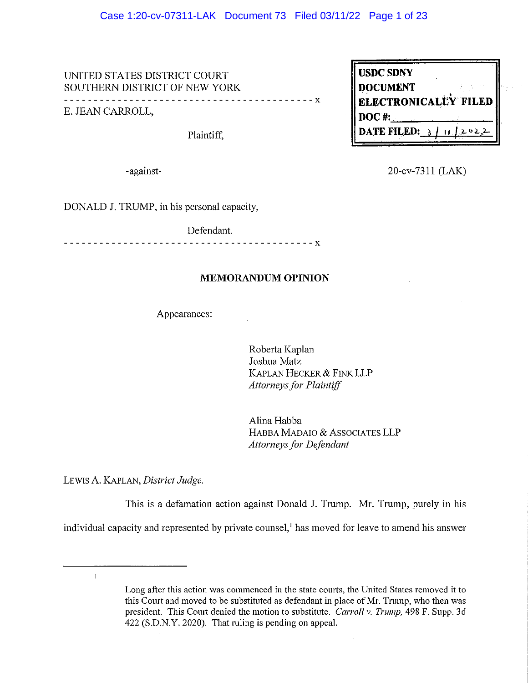### Case 1:20-cv-07311-LAK Document 73 Filed 03/11/22 Page 1 of 23

UNITED STATES DISTRICT COURT SOUTHERN DISTRICT OF NEW YORK \_\_\_\_\_\_\_\_\_\_\_\_\_\_\_\_\_\_\_\_\_\_\_\_\_\_\_\_ E. JEAN CARROLL,

Plaintiff,

-against-

20-cv-7311 (LAK)

 $2022$ 

**ELECTRONICALLY FILED** 

**USDC SDNY** 

**DOCUMENT** 

DATE FILED: 3

 $DOC$ #:

DONALD J. TRUMP, in his personal capacity,

Defendant.

 $- - - - - - - - - - - - - - - - - - - - - - - - - - - - - - -$ 

### **MEMORANDUM OPINION**

Appearances:

Roberta Kaplan Joshua Matz KAPLAN HECKER & FINK LLP **Attorneys for Plaintiff** 

 $- - x$ 

Alina Habba HABBA MADAIO & ASSOCIATES LLP **Attorneys for Defendant** 

LEWIS A. KAPLAN, District Judge.

This is a defamation action against Donald J. Trump. Mr. Trump, purely in his individual capacity and represented by private counsel,<sup>1</sup> has moved for leave to amend his answer

 $\mathbf{1}$ 

Long after this action was commenced in the state courts, the United States removed it to this Court and moved to be substituted as defendant in place of Mr. Trump, who then was president. This Court denied the motion to substitute. Carroll v. Trump, 498 F. Supp. 3d 422 (S.D.N.Y. 2020). That ruling is pending on appeal.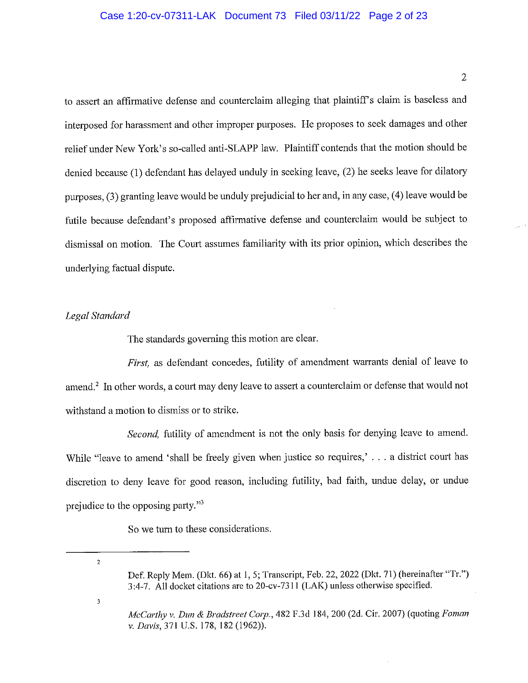### Case 1:20-cv-07311-LAK Document 73 Filed 03/11/22 Page 2 of 23

to assert an affirmative defense and counterclaim alleging that plaintiff's claim is baseless and interposed for harassment and other improper purposes. He proposes to seek damages and other relief under New York's so-called anti-SLAPP law. Plaintiff contends that the motion should be denied because (1) defendant has delayed unduly in seeking leave, (2) he seeks leave for dilatory purposes, (3) granting leave would be unduly prejudicial to her and, in any case, (4) leave would be futile because defendant's proposed affirmative defense and counterclaim would be subject to dismissal on motion. The Court assumes familiarity with its prior opinion, which describes the underlying factual dispute.

## Legal Standard

The standards governing this motion are clear.

First, as defendant concedes, futility of amendment warrants denial of leave to amend.<sup>2</sup> In other words, a court may deny leave to assert a counterclaim or defense that would not withstand a motion to dismiss or to strike.

Second, futility of amendment is not the only basis for denying leave to amend. While "leave to amend 'shall be freely given when justice so requires,'... a district court has discretion to deny leave for good reason, including futility, bad faith, undue delay, or undue prejudice to the opposing party."<sup>3</sup>

So we turn to these considerations.

 $\overline{a}$ 

 $\mathbf{3}$ 

 $\overline{2}$ 

Def. Reply Mem. (Dkt. 66) at 1, 5; Transcript, Feb. 22, 2022 (Dkt. 71) (hereinafter "Tr.") 3:4-7. All docket citations are to 20-cv-7311 (LAK) unless otherwise specified.

McCarthy v. Dun & Bradstreet Corp., 482 F.3d 184, 200 (2d. Cir. 2007) (quoting Foman v. Davis, 371 U.S. 178, 182 (1962)).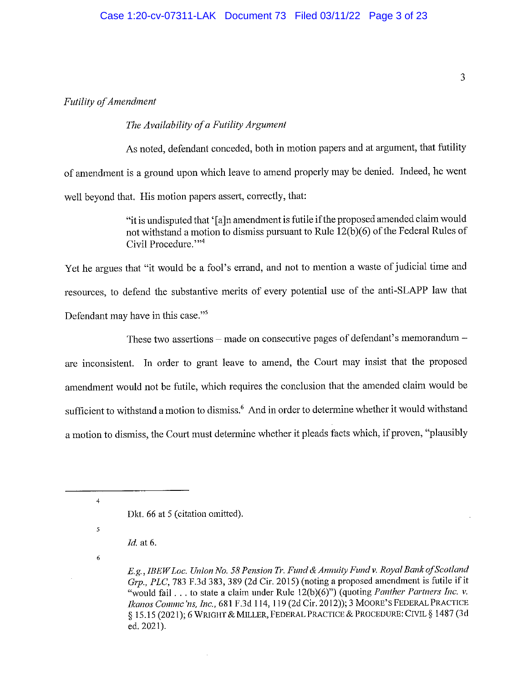## **Futility of Amendment**

## The Availability of a Futility Argument

As noted, defendant conceded, both in motion papers and at argument, that futility of amendment is a ground upon which leave to amend properly may be denied. Indeed, he went well beyond that. His motion papers assert, correctly, that:

> "it is undisputed that '[a]n amendment is futile if the proposed amended claim would not withstand a motion to dismiss pursuant to Rule 12(b)(6) of the Federal Rules of Civil Procedure.""4

Yet he argues that "it would be a fool's errand, and not to mention a waste of judicial time and resources, to defend the substantive merits of every potential use of the anti-SLAPP law that Defendant may have in this case."<sup>5</sup>

These two assertions – made on consecutive pages of defendant's memorandum – are inconsistent. In order to grant leave to amend, the Court may insist that the proposed amendment would not be futile, which requires the conclusion that the amended claim would be sufficient to withstand a motion to dismiss.<sup>6</sup> And in order to determine whether it would withstand a motion to dismiss, the Court must determine whether it pleads facts which, if proven, "plausibly

- $Id.$  at 6.
- 6

 $\overline{4}$ 

Dkt. 66 at 5 (citation omitted).

E.g., IBEW Loc. Union No. 58 Pension Tr. Fund & Annuity Fund v. Royal Bank of Scotland Grp., PLC, 783 F.3d 383, 389 (2d Cir. 2015) (noting a proposed amendment is futile if it "would fail . . . to state a claim under Rule  $12(b)(6)$ ") (quoting *Panther Partners Inc. v.* Ikanos Comme'ns, Inc., 681 F.3d 114, 119 (2d Cir. 2012)); 3 MOORE'S FEDERAL PRACTICE § 15.15 (2021); 6 WRIGHT & MILLER, FEDERAL PRACTICE & PROCEDURE: CIVIL § 1487 (3d ed. 2021).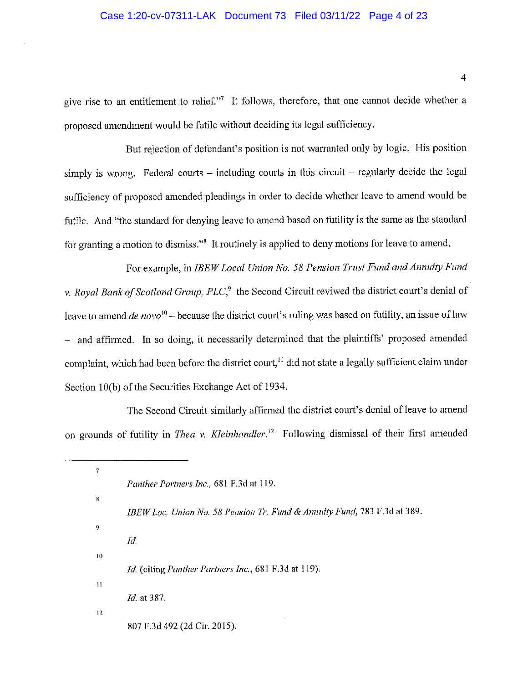give rise to an entitlement to relief."<sup>7</sup> It follows, therefore, that one cannot decide whether a proposed amendment would be futile without deciding its legal sufficiency.

But rejection of defendant's position is not warranted only by logic. His position simply is wrong. Federal courts – including courts in this circuit – regularly decide the legal sufficiency of proposed amended pleadings in order to decide whether leave to amend would be futile. And "the standard for denying leave to amend based on futility is the same as the standard for granting a motion to dismiss."<sup>8</sup> It routinely is applied to deny motions for leave to amend.

For example, in IBEW Local Union No. 58 Pension Trust Fund and Annuity Fund v. Royal Bank of Scotland Group,  $PLC<sup>9</sup>$ , the Second Circuit reviwed the district court's denial of leave to amend *de novo*<sup>10</sup> – because the district court's ruling was based on futility, an issue of law - and affirmed. In so doing, it necessarily determined that the plaintiffs' proposed amended complaint, which had been before the district court,<sup>11</sup> did not state a legally sufficient claim under Section 10(b) of the Securities Exchange Act of 1934.

The Second Circuit similarly affirmed the district court's denial of leave to amend on grounds of futility in *Thea v. Kleinhandler*.<sup>12</sup> Following dismissal of their first amended

| 7  |                                                                          |
|----|--------------------------------------------------------------------------|
|    | Panther Partners Inc., 681 F.3d at 119.                                  |
| 8  |                                                                          |
|    | IBEW Loc. Union No. 58 Pension Tr. Fund & Annuity Fund, 783 F.3d at 389. |
| 9  |                                                                          |
|    | Id.                                                                      |
| 10 |                                                                          |
|    | Id. (citing Panther Partners Inc., 681 F.3d at 119).                     |
| 11 |                                                                          |
|    | <i>Id.</i> at 387.                                                       |
| 12 |                                                                          |
|    | 807 F.3d 492 (2d Cir. 2015).                                             |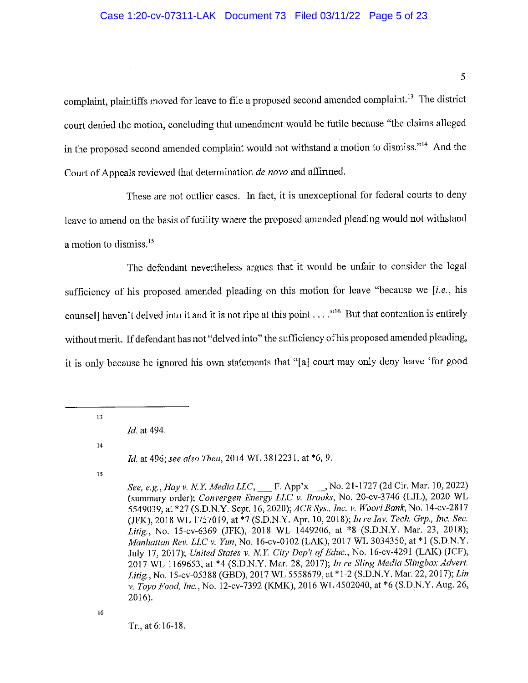## Case 1:20-cv-07311-LAK Document 73 Filed 03/11/22 Page 5 of 23

complaint, plaintiffs moved for leave to file a proposed second amended complaint.<sup>13</sup> The district court denied the motion, concluding that amendment would be futile because "the claims alleged in the proposed second amended complaint would not withstand a motion to dismiss."<sup>14</sup> And the Court of Appeals reviewed that determination *de novo* and affirmed.

These are not outlier cases. In fact, it is unexceptional for federal courts to deny leave to amend on the basis of futility where the proposed amended pleading would not withstand a motion to dismiss.<sup>15</sup>

The defendant nevertheless argues that it would be unfair to consider the legal sufficiency of his proposed amended pleading on this motion for leave "because we [i.e., his counsell haven't delved into it and it is not ripe at this point  $\dots$ ."<sup>16</sup> But that contention is entirely without merit. If defendant has not "delved into" the sufficiency of his proposed amended pleading, it is only because he ignored his own statements that "[a] court may only deny leave 'for good

 $14$ 

Id. at 496; see also Thea, 2014 WL 3812231, at \*6, 9.

15

Tr., at 6:16-18.

 $13<sup>°</sup>$ 

Id. at 494.

See, e.g., Hay v. N.Y. Media LLC, \_\_\_ F. App'x \_\_\_, No. 21-1727 (2d Cir. Mar. 10, 2022) (summary order); Convergen Energy LLC v. Brooks, No. 20-cv-3746 (LJL), 2020 WL 5549039, at \*27 (S.D.N.Y. Sept. 16, 2020); ACR Sys., Inc. v. Woori Bank, No. 14-cv-2817 (JFK), 2018 WL 1757019, at \*7 (S.D.N.Y. Apr. 10, 2018); In re Inv. Tech. Grp., Inc. Sec. Litig., No. 15-cv-6369 (JFK), 2018 WL 1449206, at \*8 (S.D.N.Y. Mar. 23, 2018); Manhattan Rev. LLC v. Yun, No. 16-cv-0102 (LAK), 2017 WL 3034350, at \*1 (S.D.N.Y. July 17, 2017); United States v. N.Y. City Dep't of Educ., No. 16-cv-4291 (LAK) (JCF), 2017 WL 1169653, at \*4 (S.D.N.Y. Mar. 28, 2017); In re Sling Media Slingbox Advert. Litig., No. 15-cv-05388 (GBD), 2017 WL 5558679, at \*1-2 (S.D.N.Y. Mar. 22, 2017); Lin v. Toyo Food, Inc., No. 12-cv-7392 (KMK), 2016 WL 4502040, at \*6 (S.D.N.Y. Aug. 26, 2016).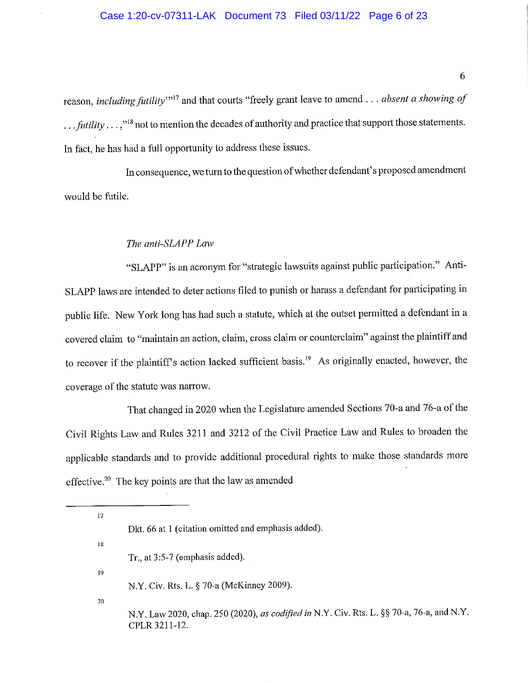reason, including futility"<sup>17</sup> and that courts "freely grant leave to amend . . . absent a showing of  $\ldots$  futility  $\ldots$ ,"<sup>18</sup> not to mention the decades of authority and practice that support those statements. In fact, he has had a full opportunity to address these issues.

In consequence, we turn to the question of whether defendant's proposed amendment would be futile.

### The anti-SLAPP Law

"SLAPP" is an acronym for "strategic lawsuits against public participation." Anti-SLAPP laws are intended to deter actions filed to punish or harass a defendant for participating in public life. New York long has had such a statute, which at the outset permitted a defendant in a covered claim to "maintain an action, claim, cross claim or counterclaim" against the plaintiff and to recover if the plaintiff's action lacked sufficient basis.<sup>19</sup> As originally enacted, however, the coverage of the statute was narrow.

That changed in 2020 when the Legislature amended Sections 70-a and 76-a of the Civil Rights Law and Rules 3211 and 3212 of the Civil Practice Law and Rules to broaden the applicable standards and to provide additional procedural rights to make those standards more effective.<sup>20</sup>. The key points are that the law as amended

| 17 |                                                                                           |
|----|-------------------------------------------------------------------------------------------|
|    | Dkt. 66 at 1 (citation omitted and emphasis added).                                       |
| 18 |                                                                                           |
|    | Tr., at $3:5-7$ (emphasis added).                                                         |
| 19 |                                                                                           |
|    | N.Y. Civ. Rts. L. § 70-a (McKinney 2009).                                                 |
| 20 |                                                                                           |
|    | N.Y. Law 2020, chap. 250 (2020), as codified in N.Y. Civ. Rts. L. §§ 70-a, 76-a, and N.Y. |
|    | CPLR 3211-12.                                                                             |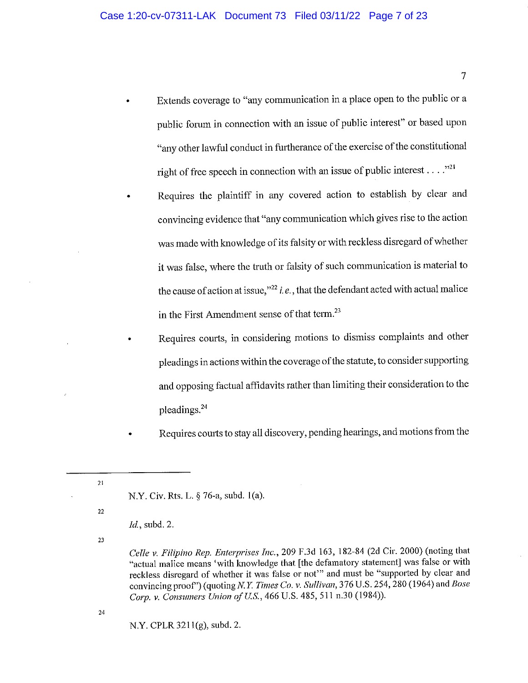- Extends coverage to "any communication in a place open to the public or a public forum in connection with an issue of public interest" or based upon "any other lawful conduct in furtherance of the exercise of the constitutional right of free speech in connection with an issue of public interest . . . . "21"
- Requires the plaintiff in any covered action to establish by clear and convincing evidence that "any communication which gives rise to the action was made with knowledge of its falsity or with reckless disregard of whether it was false, where the truth or falsity of such communication is material to the cause of action at issue," $^{22}$  *i.e.*, that the defendant acted with actual malice in the First Amendment sense of that term.<sup>23</sup>
	- Requires courts, in considering motions to dismiss complaints and other pleadings in actions within the coverage of the statute, to consider supporting and opposing factual affidavits rather than limiting their consideration to the pleadings.<sup>24</sup>

Requires courts to stay all discovery, pending hearings, and motions from the

23

 $21$ 

 $22$ 

24

N.Y. CPLR 3211(g), subd. 2.

 $\overline{7}$ 

N.Y. Civ. Rts. L. § 76-a, subd. 1(a).

*Id.*, subd. 2.

Celle v. Filipino Rep. Enterprises Inc., 209 F.3d 163, 182-84 (2d Cir. 2000) (noting that "actual malice means 'with knowledge that [the defamatory statement] was false or with reckless disregard of whether it was false or not" and must be "supported by clear and convincing proof") (quoting N.Y. Times Co. v. Sullivan, 376 U.S. 254, 280 (1964) and Bose Corp. v. Consumers Union of U.S., 466 U.S. 485, 511 n.30 (1984)).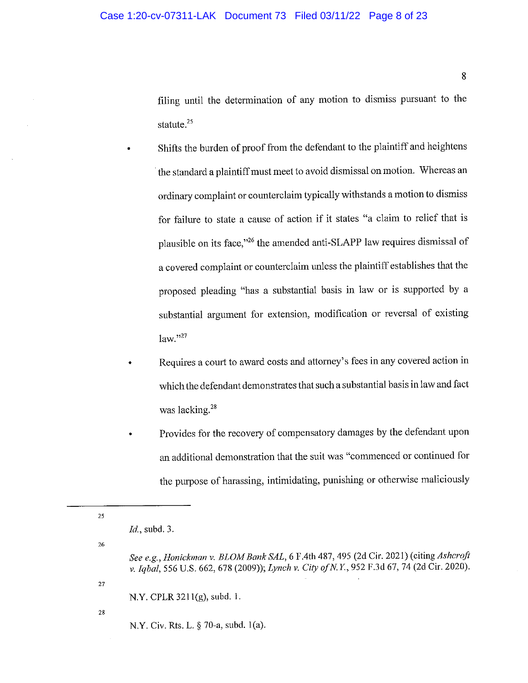filing until the determination of any motion to dismiss pursuant to the statute.<sup>25</sup>

- Shifts the burden of proof from the defendant to the plaintiff and heightens the standard a plaintiff must meet to avoid dismissal on motion. Whereas an ordinary complaint or counterclaim typically withstands a motion to dismiss for failure to state a cause of action if it states "a claim to relief that is plausible on its face,"<sup>26</sup> the amended anti-SLAPP law requires dismissal of a covered complaint or counterclaim unless the plaintiff establishes that the proposed pleading "has a substantial basis in law or is supported by a substantial argument for extension, modification or reversal of existing  $law.$ <sup>27</sup>
- Requires a court to award costs and attorney's fees in any covered action in which the defendant demonstrates that such a substantial basis in law and fact was lacking.<sup>28</sup>
- Provides for the recovery of compensatory damages by the defendant upon an additional demonstration that the suit was "commenced or continued for the purpose of harassing, intimidating, punishing or otherwise maliciously

N.Y. CPLR  $3211(g)$ , subd. 1.

 ${\bf 28}$ 

27

25

26

N.Y. Civ. Rts. L. § 70-a, subd. 1(a).

*Id.*, subd. 3.

See e.g., Honickman v. BLOM Bank SAL, 6 F.4th 487, 495 (2d Cir. 2021) (citing Ashcroft v. Iqbal, 556 U.S. 662, 678 (2009)); Lynch v. City of N.Y., 952 F.3d 67, 74 (2d Cir. 2020).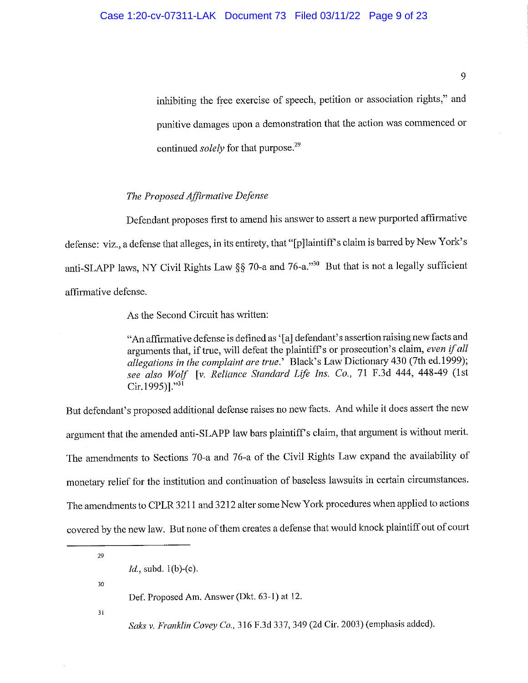inhibiting the free exercise of speech, petition or association rights," and punitive damages upon a demonstration that the action was commenced or continued *solely* for that purpose.<sup>29</sup>

### The Proposed Affirmative Defense

Defendant proposes first to amend his answer to assert a new purported affirmative defense: viz., a defense that alleges, in its entirety, that "[p] laintiff's claim is barred by New York's anti-SLAPP laws, NY Civil Rights Law §§ 70-a and 76-a."<sup>30</sup> But that is not a legally sufficient affirmative defense.

As the Second Circuit has written:

"An affirmative defense is defined as '[a] defendant's assertion raising new facts and arguments that, if true, will defeat the plaintiff's or prosecution's claim, even if all allegations in the complaint are true.' Black's Law Dictionary 430 (7th ed.1999), see also Wolf [v. Reliance Standard Life Ins. Co., 71 F.3d 444, 448-49 (1st  $Cir.1995$ ]."31

But defendant's proposed additional defense raises no new facts. And while it does assert the new argument that the amended anti-SLAPP law bars plaintiff's claim, that argument is without merit. The amendments to Sections 70-a and 76-a of the Civil Rights Law expand the availability of monetary relief for the institution and continuation of baseless lawsuits in certain circumstances. The amendments to CPLR 3211 and 3212 alter some New York procedures when applied to actions covered by the new law. But none of them creates a defense that would knock plaintiff out of court

29

 $30<sup>°</sup>$ 

 $31$ 

Saks v. Franklin Covey Co., 316 F.3d 337, 349 (2d Cir. 2003) (emphasis added).

 $Id.$ , subd.  $1(b)-(c).$ 

Def. Proposed Am. Answer (Dkt. 63-1) at 12.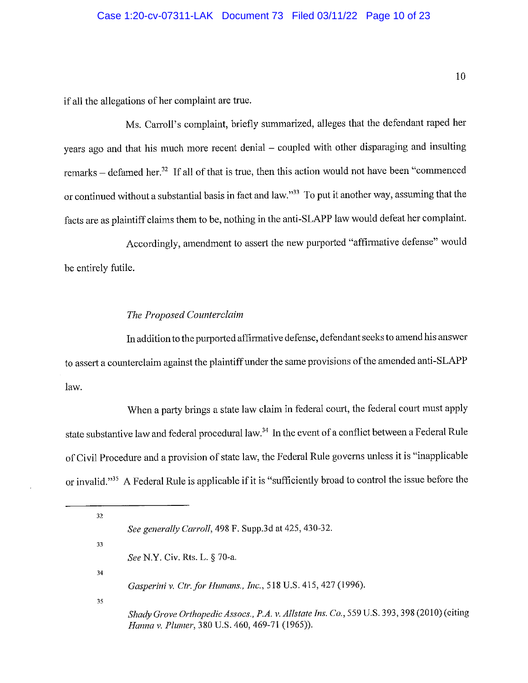## Case 1:20-cv-07311-LAK Document 73 Filed 03/11/22 Page 10 of 23

if all the allegations of her complaint are true.

Ms. Carroll's complaint, briefly summarized, alleges that the defendant raped her years ago and that his much more recent denial - coupled with other disparaging and insulting remarks – defamed her.<sup>32</sup> If all of that is true, then this action would not have been "commenced" or continued without a substantial basis in fact and law."<sup>33</sup> To put it another way, assuming that the facts are as plaintiff claims them to be, nothing in the anti-SLAPP law would defeat her complaint.

Accordingly, amendment to assert the new purported "affirmative defense" would be entirely futile.

### The Proposed Counterclaim

In addition to the purported affirmative defense, defendant seeks to amend his answer to assert a counterclaim against the plaintiff under the same provisions of the amended anti-SLAPP law.

When a party brings a state law claim in federal court, the federal court must apply state substantive law and federal procedural law.<sup>34</sup> In the event of a conflict between a Federal Rule of Civil Procedure and a provision of state law, the Federal Rule governs unless it is "inapplicable or invalid."<sup>35</sup> A Federal Rule is applicable if it is "sufficiently broad to control the issue before the

32 See generally Carroll, 498 F. Supp.3d at 425, 430-32. 33 See N.Y. Civ. Rts. L. § 70-a.  $34$ Gasperini v. Ctr. for Humans., Inc., 518 U.S. 415, 427 (1996). 35 Shady Grove Orthopedic Assocs., P.A. v. Allstate Ins. Co., 559 U.S. 393, 398 (2010) (citing Hanna v. Plumer, 380 U.S. 460, 469-71 (1965)).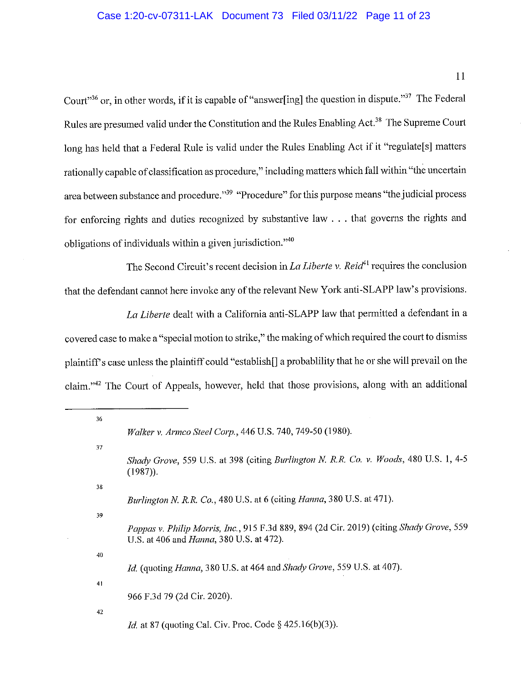# Case 1:20-cv-07311-LAK Document 73 Filed 03/11/22 Page 11 of 23

11

Court"<sup>36</sup> or, in other words, if it is capable of "answer[ing] the question in dispute."<sup>37</sup> The Federal Rules are presumed valid under the Constitution and the Rules Enabling Act.<sup>38</sup> The Supreme Court long has held that a Federal Rule is valid under the Rules Enabling Act if it "regulate[s] matters rationally capable of classification as procedure," including matters which fall within "the uncertain area between substance and procedure."<sup>39</sup> "Procedure" for this purpose means "the judicial process for enforcing rights and duties recognized by substantive law . . . that governs the rights and obligations of individuals within a given jurisdiction."<sup>40</sup>

The Second Circuit's recent decision in La Liberte v. Reid<sup>41</sup> requires the conclusion that the defendant cannot here invoke any of the relevant New York anti-SLAPP law's provisions.

La Liberte dealt with a California anti-SLAPP law that permitted a defendant in a covered case to make a "special motion to strike," the making of which required the court to dismiss plaintiff's case unless the plaintiff could "establish[] a probablility that he or she will prevail on the claim."<sup>42</sup> The Court of Appeals, however, held that those provisions, along with an additional

| 36             |                                                                                                                                              |
|----------------|----------------------------------------------------------------------------------------------------------------------------------------------|
|                | Walker v. Armco Steel Corp., 446 U.S. 740, 749-50 (1980).                                                                                    |
| 37             |                                                                                                                                              |
|                | Shady Grove, 559 U.S. at 398 (citing Burlington N. R.R. Co. v. Woods, 480 U.S. 1, 4-5<br>$(1987)$ .                                          |
| 38             |                                                                                                                                              |
|                | Burlington N. R.R. Co., 480 U.S. at 6 (citing Hanna, 380 U.S. at 471).                                                                       |
| 39             |                                                                                                                                              |
|                | Pappas v. Philip Morris, Inc., 915 F.3d 889, 894 (2d Cir. 2019) (citing Shady Grove, 559<br>U.S. at 406 and <i>Hanna</i> , 380 U.S. at 472). |
| 40             |                                                                                                                                              |
|                | Id. (quoting Hanna, 380 U.S. at 464 and Shady Grove, 559 U.S. at 407).                                                                       |
| 4 <sub>1</sub> |                                                                                                                                              |
|                | 966 F.3d 79 (2d Cir. 2020).                                                                                                                  |
| 42             |                                                                                                                                              |
|                | <i>Id.</i> at 87 (quoting Cal. Civ. Proc. Code § 425.16(b)(3)).                                                                              |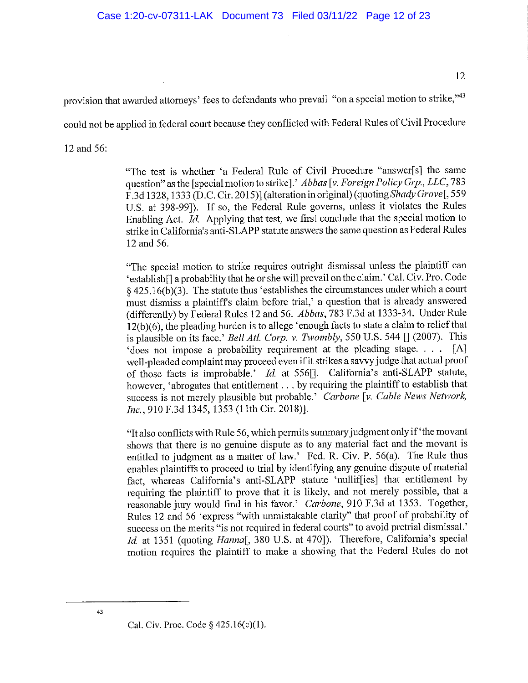12

provision that awarded attorneys' fees to defendants who prevail "on a special motion to strike,"43

could not be applied in federal court because they conflicted with Federal Rules of Civil Procedure

12 and 56:

"The test is whether 'a Federal Rule of Civil Procedure "answer[s] the same question" as the [special motion to strike].' Abbas [v. Foreign Policy Grp., LLC, 783 F.3d 1328, 1333 (D.C. Cir. 2015)] (alteration in original) (quoting Shady Grovel, 559 U.S. at 398-99]). If so, the Federal Rule governs, unless it violates the Rules Enabling Act. Id. Applying that test, we first conclude that the special motion to strike in California's anti-SLAPP statute answers the same question as Federal Rules 12 and 56.

"The special motion to strike requires outright dismissal unless the plaintiff can 'establish<sup>[]</sup> a probability that he or she will prevail on the claim.' Cal. Civ. Pro. Code §  $425.16(b)(3)$ . The statute thus 'establishes the circumstances under which a court must dismiss a plaintiff's claim before trial,' a question that is already answered (differently) by Federal Rules 12 and 56. Abbas, 783 F.3d at 1333-34. Under Rule 12(b)(6), the pleading burden is to allege 'enough facts to state a claim to relief that is plausible on its face.' Bell Atl. Corp. v. Twombly, 550 U.S. 544  $\prod$  (2007). This 'does not impose a probability requirement at the pleading stage.... [A] well-pleaded complaint may proceed even if it strikes a savvy judge that actual proof of those facts is improbable.' Id. at 556[]. California's anti-SLAPP statute, however, 'abrogates that entitlement . . . by requiring the plaintiff to establish that success is not merely plausible but probable.' Carbone [v. Cable News Network, Inc., 910 F.3d 1345, 1353 (11th Cir. 2018)].

"It also conflicts with Rule 56, which permits summary judgment only if 'the movant shows that there is no genuine dispute as to any material fact and the movant is entitled to judgment as a matter of law.' Fed. R. Civ. P. 56(a). The Rule thus enables plaintiffs to proceed to trial by identifying any genuine dispute of material fact, whereas California's anti-SLAPP statute 'nulliffies] that entitlement by requiring the plaintiff to prove that it is likely, and not merely possible, that a reasonable jury would find in his favor.' Carbone, 910 F.3d at 1353. Together, Rules 12 and 56 'express "with unmistakable clarity" that proof of probability of success on the merits "is not required in federal courts" to avoid pretrial dismissal.' Id. at 1351 (quoting Hanna[, 380 U.S. at 470]). Therefore, California's special motion requires the plaintiff to make a showing that the Federal Rules do not

Cal. Civ. Proc. Code  $§$  425.16(c)(1).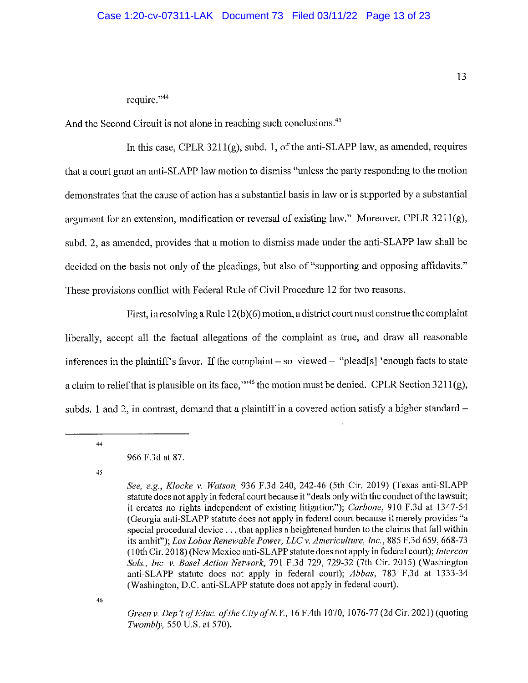### Case 1:20-cv-07311-LAK Document 73 Filed 03/11/22 Page 13 of 23

### require."<sup>44</sup>

And the Second Circuit is not alone in reaching such conclusions.<sup>45</sup>

In this case, CPLR  $3211(g)$ , subd. 1, of the anti-SLAPP law, as amended, requires that a court grant an anti-SLAPP law motion to dismiss "unless the party responding to the motion demonstrates that the cause of action has a substantial basis in law or is supported by a substantial argument for an extension, modification or reversal of existing law." Moreover, CPLR  $3211(g)$ , subd. 2, as amended, provides that a motion to dismiss made under the anti-SLAPP law shall be decided on the basis not only of the pleadings, but also of "supporting and opposing affidavits." These provisions conflict with Federal Rule of Civil Procedure 12 for two reasons.

First, in resolving a Rule  $12(b)(6)$  motion, a district court must construe the complaint liberally, accept all the factual allegations of the complaint as true, and draw all reasonable inferences in the plaintiff's favor. If the complaint – so viewed – "plead[s] 'enough facts to state a claim to relief that is plausible on its face,"  $46$  the motion must be denied. CPLR Section 3211(g). subds, 1 and 2, in contrast, demand that a plaintiff in a covered action satisfy a higher standard –

 $44$ 

#### 966 F.3d at 87.

45

46

Green v. Dep't of Educ. of the City of N.Y., 16 F.4th 1070, 1076-77 (2d Cir. 2021) (quoting Twombly, 550 U.S. at 570).

See, e.g., Klocke v. Watson, 936 F.3d 240, 242-46 (5th Cir. 2019) (Texas anti-SLAPP statute does not apply in federal court because it "deals only with the conduct of the lawsuit; it creates no rights independent of existing litigation"); Carbone, 910 F.3d at 1347-54 (Georgia anti-SLAPP statute does not apply in federal court because it merely provides "a special procedural device . . . that applies a heightened burden to the claims that fall within its ambit"); Los Lobos Renewable Power, LLC v. Americulture, Inc., 885 F.3d 659, 668-73 (10th Cir. 2018) (New Mexico anti-SLAPP statute does not apply in federal court); Intercon Sols., Inc. v. Basel Action Network, 791 F.3d 729, 729-32 (7th Cir. 2015) (Washington anti-SLAPP statute does not apply in federal court); Abbas, 783 F.3d at 1333-34 (Washington, D.C. anti-SLAPP statute does not apply in federal court).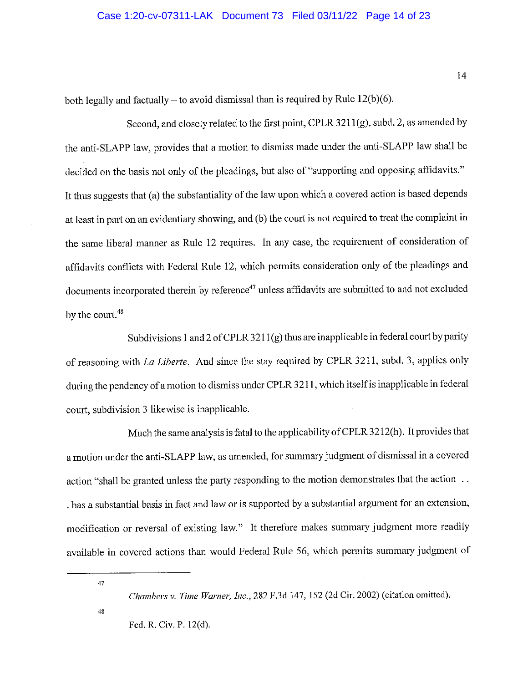### Case 1:20-cv-07311-LAK Document 73 Filed 03/11/22 Page 14 of 23

both legally and factually – to avoid dismissal than is required by Rule  $12(b)(6)$ .

Second, and closely related to the first point, CPLR 3211(g), subd. 2, as amended by the anti-SLAPP law, provides that a motion to dismiss made under the anti-SLAPP law shall be decided on the basis not only of the pleadings, but also of "supporting and opposing affidavits." It thus suggests that (a) the substantiality of the law upon which a covered action is based depends at least in part on an evidentiary showing, and (b) the court is not required to treat the complaint in the same liberal manner as Rule 12 requires. In any case, the requirement of consideration of affidavits conflicts with Federal Rule 12, which permits consideration only of the pleadings and documents incorporated therein by reference<sup>47</sup> unless affidavits are submitted to and not excluded by the court.<sup>48</sup>

Subdivisions 1 and 2 of CPLR  $3211(g)$  thus are inapplicable in federal court by parity of reasoning with La Liberte. And since the stay required by CPLR 3211, subd. 3, applies only during the pendency of a motion to dismiss under CPLR 3211, which itself is inapplicable in federal court, subdivision 3 likewise is inapplicable.

Much the same analysis is fatal to the applicability of CPLR 3212(h). It provides that a motion under the anti-SLAPP law, as amended, for summary judgment of dismissal in a covered action "shall be granted unless the party responding to the motion demonstrates that the action .. has a substantial basis in fact and law or is supported by a substantial argument for an extension, modification or reversal of existing law." It therefore makes summary judgment more readily available in covered actions than would Federal Rule 56, which permits summary judgment of

### 47

Chambers v. Time Warner, Inc., 282 F.3d 147, 152 (2d Cir. 2002) (citation omitted).

 $48$ 

Fed. R. Civ. P. 12(d).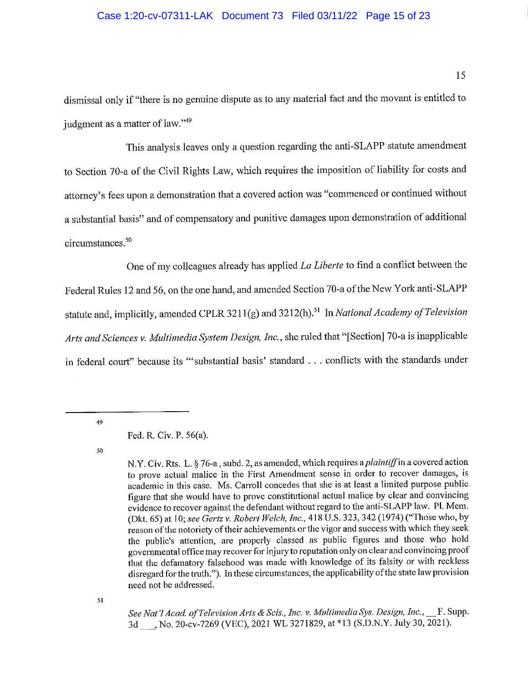# Case 1:20-cv-07311-LAK Document 73 Filed 03/11/22 Page 15 of 23

dismissal only if "there is no genuine dispute as to any material fact and the movant is entitled to judgment as a matter of law."49

This analysis leaves only a question regarding the anti-SLAPP statute amendment to Section 70-a of the Civil Rights Law, which requires the imposition of liability for costs and attorney's fees upon a demonstration that a covered action was "commenced or continued without a substantial basis" and of compensatory and punitive damages upon demonstration of additional circumstances.<sup>50</sup>

One of my colleagues already has applied La Liberte to find a conflict between the Federal Rules 12 and 56, on the one hand, and amended Section 70-a of the New York anti-SLAPP statute and, implicitly, amended CPLR 3211(g) and 3212(h).<sup>51</sup> In National Academy of Television Arts and Sciences v. Multimedia System Design, Inc., she ruled that "[Section] 70-a is inapplicable in federal court" because its ""substantial basis' standard . . . conflicts with the standards under

49

50

51

See Nat'l Acad. of Television Arts & Scis., Inc. v. Multimedia Sys. Design, Inc., F. Supp. 3d, No. 20-cv-7269 (VEC), 2021 WL 3271829, at \*13 (S.D.N.Y. July 30, 2021).

Fed. R. Civ. P. 56(a).

N.Y. Civ. Rts. L. § 76-a, subd. 2, as amended, which requires a *plaintiff* in a covered action to prove actual malice in the First Amendment sense in order to recover damages, is academic in this case. Ms. Carroll concedes that she is at least a limited purpose public figure that she would have to prove constitutional actual malice by clear and convincing evidence to recover against the defendant without regard to the anti-SLAPP law. Pl. Mem. (Dkt. 65) at 10; see Gertz v. Robert Welch, Inc., 418 U.S. 323, 342 (1974) ("Those who, by reason of the notoriety of their achievements or the vigor and success with which they seek the public's attention, are properly classed as public figures and those who hold governmental office may recover for injury to reputation only on clear and convincing proof that the defamatory falsehood was made with knowledge of its falsity or with reckless disregard for the truth."). In these circumstances, the applicability of the state law provision need not be addressed.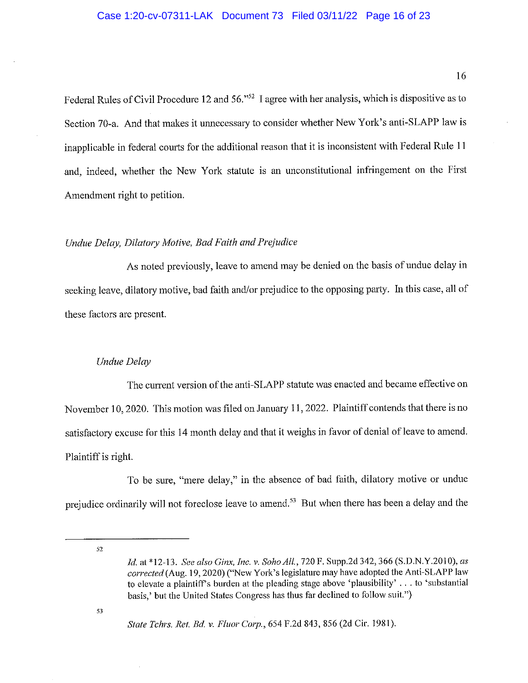Federal Rules of Civil Procedure 12 and 56."<sup>52</sup> I agree with her analysis, which is dispositive as to Section 70-a. And that makes it unnecessary to consider whether New York's anti-SLAPP law is inapplicable in federal courts for the additional reason that it is inconsistent with Federal Rule 11 and, indeed, whether the New York statute is an unconstitutional infringement on the First Amendment right to petition.

### Undue Delay, Dilatory Motive, Bad Faith and Prejudice

As noted previously, leave to amend may be denied on the basis of undue delay in seeking leave, dilatory motive, bad faith and/or prejudice to the opposing party. In this case, all of these factors are present.

### Undue Delay

The current version of the anti-SLAPP statute was enacted and became effective on November 10, 2020. This motion was filed on January 11, 2022. Plaintiff contends that there is no satisfactory excuse for this 14 month delay and that it weighs in favor of denial of leave to amend. Plaintiff is right.

To be sure, "mere delay," in the absence of bad faith, dilatory motive or undue prejudice ordinarily will not foreclose leave to amend.<sup>53</sup> But when there has been a delay and the

52

Id. at \*12-13. See also Ginx, Inc. v. Soho All., 720 F. Supp.2d 342, 366 (S.D.N.Y.2010), as corrected (Aug. 19, 2020) ("New York's legislature may have adopted the Anti-SLAPP law to elevate a plaintiff's burden at the pleading stage above 'plausibility' . . . to 'substantial basis,' but the United States Congress has thus far declined to follow suit.")

State Tchrs. Ret. Bd. v. Fluor Corp., 654 F.2d 843, 856 (2d Cir. 1981).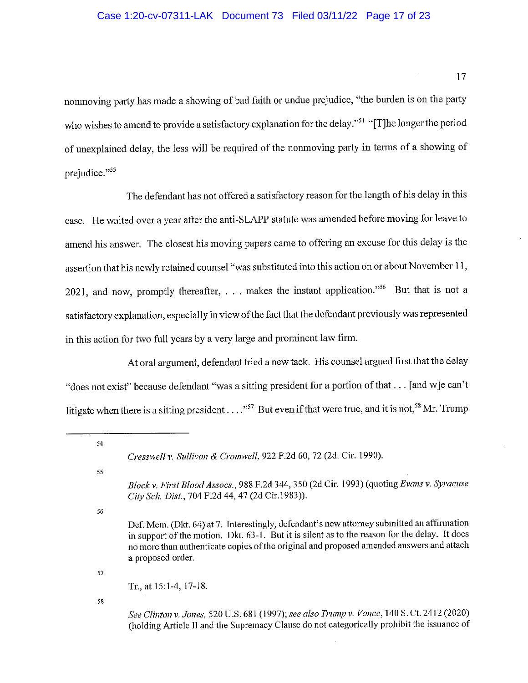## Case 1:20-cv-07311-LAK Document 73 Filed 03/11/22 Page 17 of 23

17

nonmoving party has made a showing of bad faith or undue prejudice, "the burden is on the party who wishes to amend to provide a satisfactory explanation for the delay."<sup>54</sup> "[T]he longer the period of unexplained delay, the less will be required of the nonmoving party in terms of a showing of prejudice."55

The defendant has not offered a satisfactory reason for the length of his delay in this case. He waited over a year after the anti-SLAPP statute was amended before moving for leave to amend his answer. The closest his moving papers came to offering an excuse for this delay is the assertion that his newly retained counsel "was substituted into this action on or about November 11, 2021, and now, promptly thereafter, ... makes the instant application."<sup>56</sup> But that is not a satisfactory explanation, especially in view of the fact that the defendant previously was represented in this action for two full years by a very large and prominent law firm.

At oral argument, defendant tried a new tack. His counsel argued first that the delay "does not exist" because defendant "was a sitting president for a portion of that ... [and w]e can't litigate when there is a sitting president . . . . "<sup>57</sup> But even if that were true, and it is not,<sup>58</sup> Mr. Trump

54

55

56

57

58

See Clinton v. Jones, 520 U.S. 681 (1997); see also Trump v. Vance, 140 S. Ct. 2412 (2020) (holding Article II and the Supremacy Clause do not categorically prohibit the issuance of

Cresswell v. Sullivan & Cromwell, 922 F.2d 60, 72 (2d. Cir. 1990).

Block v. First Blood Assocs., 988 F.2d 344, 350 (2d Cir. 1993) (quoting Evans v. Syracuse City Sch. Dist., 704 F.2d 44, 47 (2d Cir.1983)).

Def. Mem. (Dkt. 64) at 7. Interestingly, defendant's new attorney submitted an affirmation in support of the motion. Dkt. 63-1. But it is silent as to the reason for the delay. It does no more than authenticate copies of the original and proposed amended answers and attach a proposed order.

Tr., at 15:1-4, 17-18.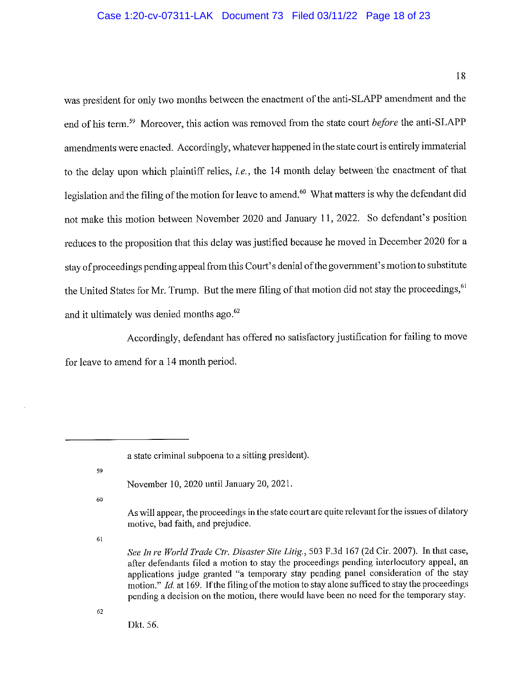## Case 1:20-cv-07311-LAK Document 73 Filed 03/11/22 Page 18 of 23

18

was president for only two months between the enactment of the anti-SLAPP amendment and the end of his term.<sup>59</sup> Moreover, this action was removed from the state court *before* the anti-SLAPP amendments were enacted. Accordingly, whatever happened in the state court is entirely immaterial to the delay upon which plaintiff relies, *i.e.*, the 14 month delay between the enactment of that legislation and the filing of the motion for leave to amend.<sup>60</sup> What matters is why the defendant did not make this motion between November 2020 and January 11, 2022. So defendant's position reduces to the proposition that this delay was justified because he moved in December 2020 for a stay of proceedings pending appeal from this Court's denial of the government's motion to substitute the United States for Mr. Trump. But the mere filing of that motion did not stay the proceedings, 61 and it ultimately was denied months ago.<sup>62</sup>

Accordingly, defendant has offered no satisfactory justification for failing to move for leave to amend for a 14 month period.

60

As will appear, the proceedings in the state court are quite relevant for the issues of dilatory motive, bad faith, and prejudice.

61

 $62$ 

Dkt. 56.

a state criminal subpoena to a sitting president).

<sup>59</sup> 

November 10, 2020 until January 20, 2021.

See In re World Trade Ctr. Disaster Site Litig., 503 F.3d 167 (2d Cir. 2007). In that case, after defendants filed a motion to stay the proceedings pending interlocutory appeal, an applications judge granted "a temporary stay pending panel consideration of the stay motion." Id. at 169. If the filing of the motion to stay alone sufficed to stay the proceedings pending a decision on the motion, there would have been no need for the temporary stay.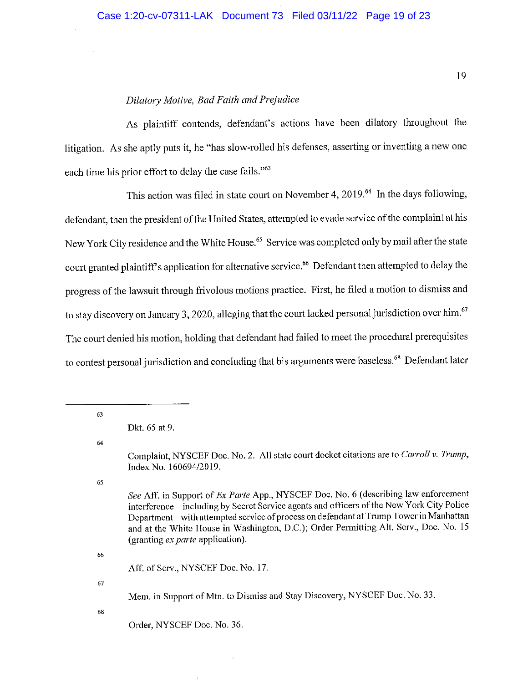## Dilatory Motive, Bad Faith and Prejudice

As plaintiff contends, defendant's actions have been dilatory throughout the litigation. As she aptly puts it, he "has slow-rolled his defenses, asserting or inventing a new one each time his prior effort to delay the case fails."<sup>63</sup>

This action was filed in state court on November 4, 2019.<sup>64</sup> In the days following, defendant, then the president of the United States, attempted to evade service of the complaint at his New York City residence and the White House.<sup>65</sup> Service was completed only by mail after the state court granted plaintiff's application for alternative service.<sup>66</sup> Defendant then attempted to delay the progress of the lawsuit through frivolous motions practice. First, he filed a motion to dismiss and to stay discovery on January 3, 2020, alleging that the court lacked personal jurisdiction over him.<sup>67</sup> The court denied his motion, holding that defendant had failed to meet the procedural prerequisites to contest personal jurisdiction and concluding that his arguments were baseless.<sup>68</sup> Defendant later

63

64

65

See Aff. in Support of Ex Parte App., NYSCEF Doc. No. 6 (describing law enforcement interference – including by Secret Service agents and officers of the New York City Police Department-with attempted service of process on defendant at Trump Tower in Manhattan and at the White House in Washington, D.C.); Order Permitting Alt. Serv., Doc. No. 15 (granting ex parte application).

66

Aff. of Serv., NYSCEF Doc. No. 17.

67

Mem. in Support of Mtn. to Dismiss and Stay Discovery, NYSCEF Doc. No. 33.

68

Order, NYSCEF Doc. No. 36.

Dkt. 65 at 9.

Complaint, NYSCEF Doc. No. 2. All state court docket citations are to Carroll v. Trump, Index No. 160694/2019.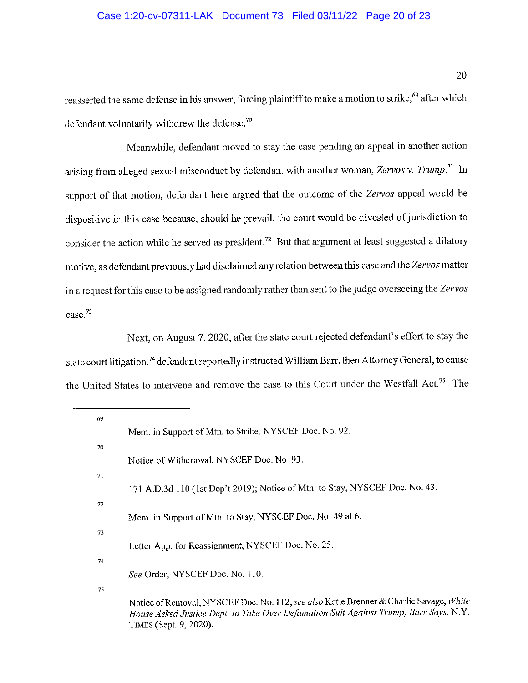# Case 1:20-cv-07311-LAK Document 73 Filed 03/11/22 Page 20 of 23

reasserted the same defense in his answer, forcing plaintiff to make a motion to strike,<sup>69</sup> after which defendant voluntarily withdrew the defense.<sup>70</sup>

Meanwhile, defendant moved to stay the case pending an appeal in another action arising from alleged sexual misconduct by defendant with another woman, Zervos v. Trump.<sup>71</sup> In support of that motion, defendant here argued that the outcome of the Zervos appeal would be dispositive in this case because, should he prevail, the court would be divested of jurisdiction to consider the action while he served as president.<sup>72</sup> But that argument at least suggested a dilatory motive, as defendant previously had disclaimed any relation between this case and the Zervos matter in a request for this case to be assigned randomly rather than sent to the judge overseeing the Zervos  $case.<sup>73</sup>$ 

Next, on August 7, 2020, after the state court rejected defendant's effort to stay the state court litigation,<sup>74</sup> defendant reportedly instructed William Barr, then Attorney General, to cause the United States to intervene and remove the case to this Court under the Westfall Act.<sup>75</sup> The

| 69 |                                                                                                                 |
|----|-----------------------------------------------------------------------------------------------------------------|
|    | Mem. in Support of Mtn. to Strike, NYSCEF Doc. No. 92.                                                          |
| 70 |                                                                                                                 |
|    | Notice of Withdrawal, NYSCEF Doc. No. 93.                                                                       |
| 71 |                                                                                                                 |
|    | 171 A.D.3d 110 (1st Dep't 2019); Notice of Mtn. to Stay, NYSCEF Doc. No. 43.                                    |
| 72 |                                                                                                                 |
|    | Mem. in Support of Mtn. to Stay, NYSCEF Doc. No. 49 at 6.                                                       |
| 73 |                                                                                                                 |
|    | Letter App. for Reassignment, NYSCEF Doc. No. 25.                                                               |
| 74 | See Order, NYSCEF Doc. No. 110.                                                                                 |
|    |                                                                                                                 |
| 75 | Notice of Removal, NYSCEF Doc. No. 112; see also Katie Brenner & Charlie Savage, White                          |
|    | House Asked Justice Dept. to Take Over Defamation Suit Against Trump, Barr Says, N.Y.<br>TIMES (Sept. 9, 2020). |
|    |                                                                                                                 |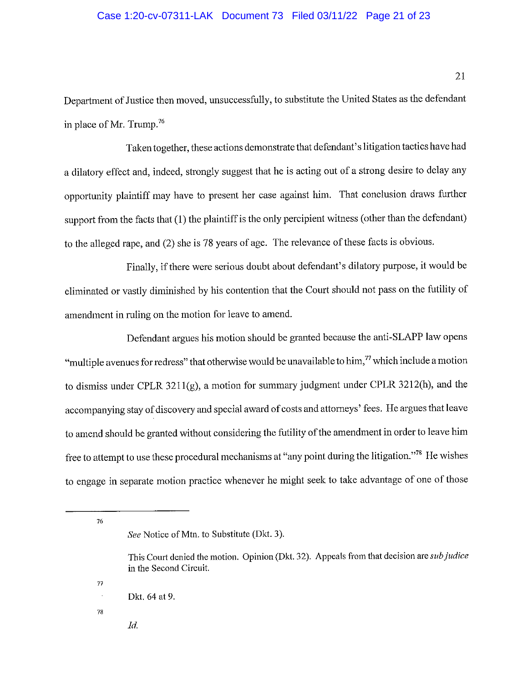### Case 1:20-cv-07311-LAK Document 73 Filed 03/11/22 Page 21 of 23

Department of Justice then moved, unsuccessfully, to substitute the United States as the defendant in place of Mr. Trump.<sup>76</sup>

Taken together, these actions demonstrate that defendant's litigation tactics have had a dilatory effect and, indeed, strongly suggest that he is acting out of a strong desire to delay any opportunity plaintiff may have to present her case against him. That conclusion draws further support from the facts that (1) the plaintiff is the only percipient witness (other than the defendant) to the alleged rape, and (2) she is 78 years of age. The relevance of these facts is obvious.

Finally, if there were serious doubt about defendant's dilatory purpose, it would be eliminated or vastly diminished by his contention that the Court should not pass on the futility of amendment in ruling on the motion for leave to amend.

Defendant argues his motion should be granted because the anti-SLAPP law opens "multiple avenues for redress" that otherwise would be unavailable to him," which include a motion to dismiss under CPLR 3211(g), a motion for summary judgment under CPLR 3212(h), and the accompanying stay of discovery and special award of costs and attorneys' fees. He argues that leave to amend should be granted without considering the futility of the amendment in order to leave him free to attempt to use these procedural mechanisms at "any point during the litigation."<sup>78</sup> He wishes to engage in separate motion practice whenever he might seek to take advantage of one of those

 $76$ 

78

77

Id.

See Notice of Mtn. to Substitute (Dkt. 3).

This Court denied the motion. Opinion (Dkt. 32). Appeals from that decision are *sub judice* in the Second Circuit.

Dkt. 64 at 9.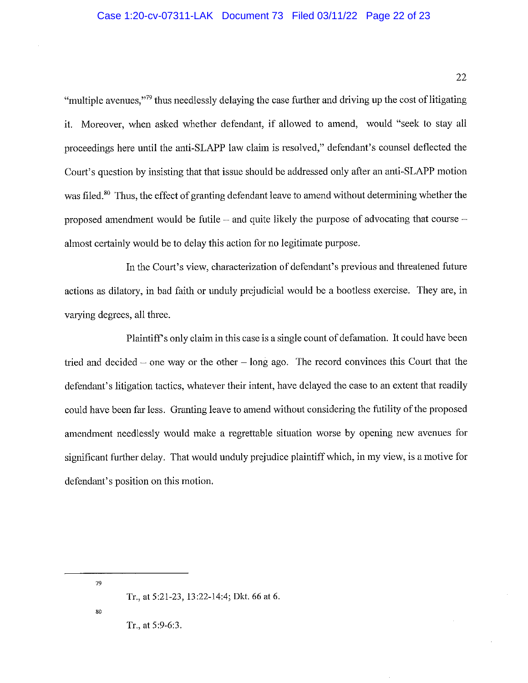"multiple avenues,"<sup>79</sup> thus needlessly delaying the case further and driving up the cost of litigating it. Moreover, when asked whether defendant, if allowed to amend, would "seek to stay all proceedings here until the anti-SLAPP law claim is resolved," defendant's counsel deflected the Court's question by insisting that that issue should be addressed only after an anti-SLAPP motion was filed.<sup>80</sup> Thus, the effect of granting defendant leave to amend without determining whether the proposed amendment would be futile – and quite likely the purpose of advocating that course – almost certainly would be to delay this action for no legitimate purpose.

In the Court's view, characterization of defendant's previous and threatened future actions as dilatory, in bad faith or unduly prejudicial would be a bootless exercise. They are, in varying degrees, all three.

Plaintiff's only claim in this case is a single count of defamation. It could have been tried and decided  $-$  one way or the other  $-$  long ago. The record convinces this Court that the defendant's litigation tactics, whatever their intent, have delayed the case to an extent that readily could have been far less. Granting leave to amend without considering the futility of the proposed amendment needlessly would make a regrettable situation worse by opening new avenues for significant further delay. That would unduly prejudice plaintiff which, in my view, is a motive for defendant's position on this motion.

79

80

Tr., at 5:9-6:3.

Tr., at 5:21-23, 13:22-14:4; Dkt. 66 at 6.